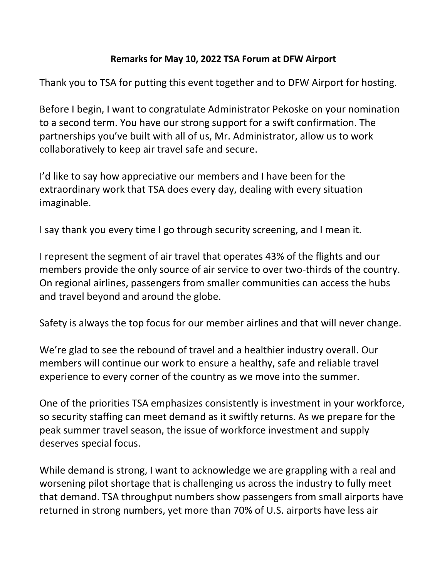## **Remarks for May 10, 2022 TSA Forum at DFW Airport**

Thank you to TSA for putting this event together and to DFW Airport for hosting.

Before I begin, I want to congratulate Administrator Pekoske on your nomination to a second term. You have our strong support for a swift confirmation. The partnerships you've built with all of us, Mr. Administrator, allow us to work collaboratively to keep air travel safe and secure.

I'd like to say how appreciative our members and I have been for the extraordinary work that TSA does every day, dealing with every situation imaginable.

I say thank you every time I go through security screening, and I mean it.

I represent the segment of air travel that operates 43% of the flights and our members provide the only source of air service to over two-thirds of the country. On regional airlines, passengers from smaller communities can access the hubs and travel beyond and around the globe.

Safety is always the top focus for our member airlines and that will never change.

We're glad to see the rebound of travel and a healthier industry overall. Our members will continue our work to ensure a healthy, safe and reliable travel experience to every corner of the country as we move into the summer.

One of the priorities TSA emphasizes consistently is investment in your workforce, so security staffing can meet demand as it swiftly returns. As we prepare for the peak summer travel season, the issue of workforce investment and supply deserves special focus.

While demand is strong, I want to acknowledge we are grappling with a real and worsening pilot shortage that is challenging us across the industry to fully meet that demand. TSA throughput numbers show passengers from small airports have returned in strong numbers, yet more than 70% of U.S. airports have less air